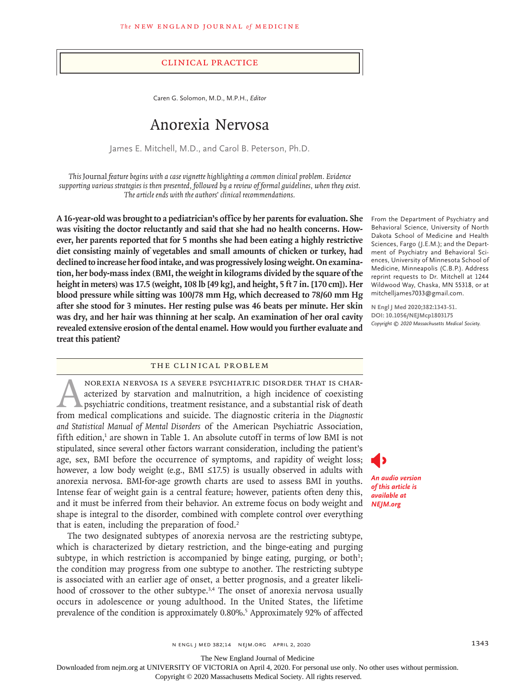## Clinical Practice

Caren G. Solomon, M.D., M.P.H., *Editor*

# Anorexia Nervosa

James E. Mitchell, M.D., and Carol B. Peterson, Ph.D.

*This* Journal *feature begins with a case vignette highlighting a common clinical problem. Evidence supporting various strategies is then presented, followed by a review of formal guidelines, when they exist. The article ends with the authors' clinical recommendations.*

**A 16-year-old was brought to a pediatrician's office by her parents for evaluation. She was visiting the doctor reluctantly and said that she had no health concerns. However, her parents reported that for 5 months she had been eating a highly restrictive diet consisting mainly of vegetables and small amounts of chicken or turkey, had declined to increase her food intake, and was progressively losing weight. On examination, her body-mass index (BMI, the weight in kilograms divided by the square of the height in meters) was 17.5 (weight, 108 lb [49 kg], and height, 5 ft 7 in. [170 cm]). Her blood pressure while sitting was 100/78 mm Hg, which decreased to 78/60 mm Hg after she stood for 3 minutes. Her resting pulse was 46 beats per minute. Her skin was dry, and her hair was thinning at her scalp. An examination of her oral cavity revealed extensive erosion of the dental enamel. How would you further evaluate and treat this patient?**

## The Clinical Problem

NOREXIA NERVOSA IS A SEVERE PSYCHIATRIC DISORDER THAT IS CHAR-<br>acterized by starvation and malnutrition, a high incidence of coexisting<br>psychiatric conditions, treatment resistance, and a substantial risk of death<br>from med acterized by starvation and malnutrition, a high incidence of coexisting psychiatric conditions, treatment resistance, and a substantial risk of death from medical complications and suicide. The diagnostic criteria in the *Diagnostic and Statistical Manual of Mental Disorders* of the American Psychiatric Association, fifth edition, $<sup>1</sup>$  are shown in Table 1. An absolute cutoff in terms of low BMI is not</sup> stipulated, since several other factors warrant consideration, including the patient's age, sex, BMI before the occurrence of symptoms, and rapidity of weight loss; however, a low body weight (e.g., BMI ≤17.5) is usually observed in adults with anorexia nervosa. BMI-for-age growth charts are used to assess BMI in youths. Intense fear of weight gain is a central feature; however, patients often deny this, and it must be inferred from their behavior. An extreme focus on body weight and shape is integral to the disorder, combined with complete control over everything that is eaten, including the preparation of food.<sup>2</sup>

The two designated subtypes of anorexia nervosa are the restricting subtype, which is characterized by dietary restriction, and the binge-eating and purging subtype, in which restriction is accompanied by binge eating, purging, or both<sup>1</sup>; the condition may progress from one subtype to another. The restricting subtype is associated with an earlier age of onset, a better prognosis, and a greater likelihood of crossover to the other subtype.<sup>3,4</sup> The onset of anorexia nervosa usually occurs in adolescence or young adulthood. In the United States, the lifetime prevalence of the condition is approximately 0.80%.<sup>5</sup> Approximately 92% of affected

From the Department of Psychiatry and Behavioral Science, University of North Dakota School of Medicine and Health Sciences, Fargo (J.E.M.); and the Department of Psychiatry and Behavioral Sciences, University of Minnesota School of Medicine, Minneapolis (C.B.P.). Address reprint requests to Dr. Mitchell at 1244 Wildwood Way, Chaska, MN 55318, or at mitchelljames7033@gmail.com.

**N Engl J Med 2020;382:1343-51. DOI: 10.1056/NEJMcp1803175** *Copyright © 2020 Massachusetts Medical Society.*

*An audio version of this article is available at NEJM.org*

n engl j med 382;14 nejm.org April 2, 2020 1343

The New England Journal of Medicine

Downloaded from nejm.org at UNIVERSITY OF VICTORIA on April 4, 2020. For personal use only. No other uses without permission.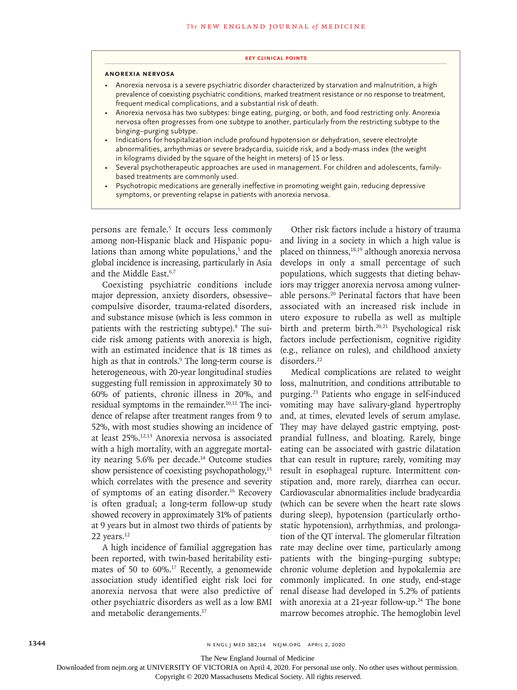#### **Key Clinical Points**

#### **Anorexia Nervosa**

- Anorexia nervosa is a severe psychiatric disorder characterized by starvation and malnutrition, a high prevalence of coexisting psychiatric conditions, marked treatment resistance or no response to treatment, frequent medical complications, and a substantial risk of death.
- Anorexia nervosa has two subtypes: binge eating, purging, or both, and food restricting only. Anorexia nervosa often progresses from one subtype to another, particularly from the restricting subtype to the binging–purging subtype.
- Indications for hospitalization include profound hypotension or dehydration, severe electrolyte abnormalities, arrhythmias or severe bradycardia, suicide risk, and a body-mass index (the weight in kilograms divided by the square of the height in meters) of 15 or less.
- Several psychotherapeutic approaches are used in management. For children and adolescents, familybased treatments are commonly used.
- Psychotropic medications are generally ineffective in promoting weight gain, reducing depressive symptoms, or preventing relapse in patients with anorexia nervosa.

persons are female.<sup>5</sup> It occurs less commonly among non-Hispanic black and Hispanic populations than among white populations,<sup>5</sup> and the global incidence is increasing, particularly in Asia and the Middle East.6,7

Coexisting psychiatric conditions include major depression, anxiety disorders, obsessive– compulsive disorder, trauma-related disorders, and substance misuse (which is less common in patients with the restricting subtype).<sup>8</sup> The suicide risk among patients with anorexia is high, with an estimated incidence that is 18 times as high as that in controls.<sup>9</sup> The long-term course is heterogeneous, with 20-year longitudinal studies suggesting full remission in approximately 30 to 60% of patients, chronic illness in 20%, and residual symptoms in the remainder.<sup>10,11</sup> The incidence of relapse after treatment ranges from 9 to 52%, with most studies showing an incidence of at least 25%.12,13 Anorexia nervosa is associated with a high mortality, with an aggregate mortality nearing 5.6% per decade.14 Outcome studies show persistence of coexisting psychopathology,<sup>15</sup> which correlates with the presence and severity of symptoms of an eating disorder.16 Recovery is often gradual; a long-term follow-up study showed recovery in approximately 31% of patients at 9 years but in almost two thirds of patients by 22 years.<sup>12</sup>

A high incidence of familial aggregation has been reported, with twin-based heritability estimates of 50 to 60%.17 Recently, a genomewide association study identified eight risk loci for anorexia nervosa that were also predictive of other psychiatric disorders as well as a low BMI and metabolic derangements.17

Other risk factors include a history of trauma and living in a society in which a high value is placed on thinness,<sup>18,19</sup> although anorexia nervosa develops in only a small percentage of such populations, which suggests that dieting behaviors may trigger anorexia nervosa among vulnerable persons.20 Perinatal factors that have been associated with an increased risk include in utero exposure to rubella as well as multiple birth and preterm birth.<sup>20,21</sup> Psychological risk factors include perfectionism, cognitive rigidity (e.g., reliance on rules), and childhood anxiety disorders.<sup>22</sup>

Medical complications are related to weight loss, malnutrition, and conditions attributable to purging.23 Patients who engage in self-induced vomiting may have salivary-gland hypertrophy and, at times, elevated levels of serum amylase. They may have delayed gastric emptying, postprandial fullness, and bloating. Rarely, binge eating can be associated with gastric dilatation that can result in rupture; rarely, vomiting may result in esophageal rupture. Intermittent constipation and, more rarely, diarrhea can occur. Cardiovascular abnormalities include bradycardia (which can be severe when the heart rate slows during sleep), hypotension (particularly orthostatic hypotension), arrhythmias, and prolongation of the QT interval. The glomerular filtration rate may decline over time, particularly among patients with the binging–purging subtype; chronic volume depletion and hypokalemia are commonly implicated. In one study, end-stage renal disease had developed in 5.2% of patients with anorexia at a 21-year follow-up.<sup>24</sup> The bone marrow becomes atrophic. The hemoglobin level

The New England Journal of Medicine

Downloaded from nejm.org at UNIVERSITY OF VICTORIA on April 4, 2020. For personal use only. No other uses without permission.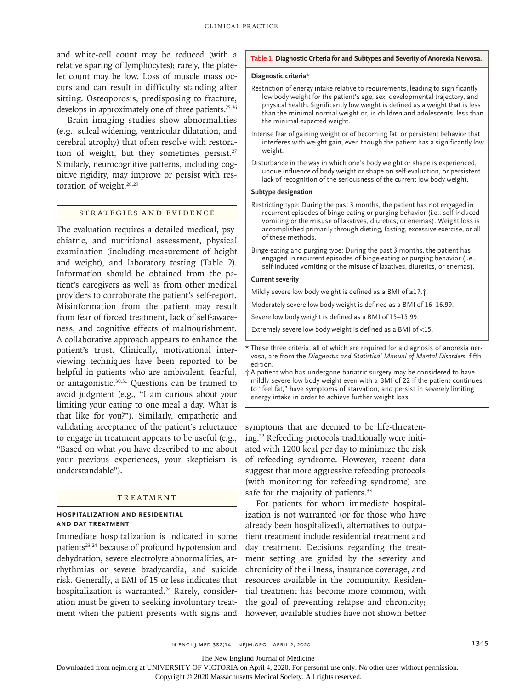and white-cell count may be reduced (with a relative sparing of lymphocytes); rarely, the platelet count may be low. Loss of muscle mass occurs and can result in difficulty standing after sitting. Osteoporosis, predisposing to fracture, develops in approximately one of three patients.<sup>25,26</sup>

Brain imaging studies show abnormalities (e.g., sulcal widening, ventricular dilatation, and cerebral atrophy) that often resolve with restoration of weight, but they sometimes persist.<sup>27</sup> Similarly, neurocognitive patterns, including cognitive rigidity, may improve or persist with restoration of weight.<sup>28,29</sup>

# Strategies and Evidence

The evaluation requires a detailed medical, psychiatric, and nutritional assessment, physical examination (including measurement of height and weight), and laboratory testing (Table 2). Information should be obtained from the patient's caregivers as well as from other medical providers to corroborate the patient's self-report. Misinformation from the patient may result from fear of forced treatment, lack of self-awareness, and cognitive effects of malnourishment. A collaborative approach appears to enhance the patient's trust. Clinically, motivational interviewing techniques have been reported to be helpful in patients who are ambivalent, fearful, or antagonistic.<sup>30,31</sup> Questions can be framed to avoid judgment (e.g., "I am curious about your limiting your eating to one meal a day. What is that like for you?"). Similarly, empathetic and validating acceptance of the patient's reluctance to engage in treatment appears to be useful (e.g., "Based on what you have described to me about your previous experiences, your skepticism is understandable").

#### TREATMENT

#### **Hospitalization and Residential and Day Treatment**

Immediate hospitalization is indicated in some patients<sup>23,24</sup> because of profound hypotension and dehydration, severe electrolyte abnormalities, arrhythmias or severe bradycardia, and suicide risk. Generally, a BMI of 15 or less indicates that hospitalization is warranted.<sup>24</sup> Rarely, consideration must be given to seeking involuntary treatment when the patient presents with signs and

#### **Table 1. Diagnostic Criteria for and Subtypes and Severity of Anorexia Nervosa.**

## **Diagnostic criteria**\*

- Restriction of energy intake relative to requirements, leading to significantly low body weight for the patient's age, sex, developmental trajectory, and physical health. Significantly low weight is defined as a weight that is less than the minimal normal weight or, in children and adolescents, less than the minimal expected weight.
- Intense fear of gaining weight or of becoming fat, or persistent behavior that interferes with weight gain, even though the patient has a significantly low weight.
- Disturbance in the way in which one's body weight or shape is experienced, undue influence of body weight or shape on self-evaluation, or persistent lack of recognition of the seriousness of the current low body weight.

#### **Subtype designation**

- Restricting type: During the past 3 months, the patient has not engaged in recurrent episodes of binge-eating or purging behavior (i.e., self-induced vomiting or the misuse of laxatives, diuretics, or enemas). Weight loss is accomplished primarily through dieting, fasting, excessive exercise, or all of these methods.
- Binge-eating and purging type: During the past 3 months, the patient has engaged in recurrent episodes of binge-eating or purging behavior (i.e., self-induced vomiting or the misuse of laxatives, diuretics, or enemas).

#### **Current severity**

Mildly severe low body weight is defined as a BMI of ≥17.†

Moderately severe low body weight is defined as a BMI of 16–16.99.

Severe low body weight is defined as a BMI of 15–15.99.

Extremely severe low body weight is defined as a BMI of <15.

\* These three criteria, all of which are required for a diagnosis of anorexia nervosa, are from the *Diagnostic and Statistical Manual of Mental Disorders*, fifth edition.

symptoms that are deemed to be life-threatening.32 Refeeding protocols traditionally were initiated with 1200 kcal per day to minimize the risk of refeeding syndrome. However, recent data suggest that more aggressive refeeding protocols (with monitoring for refeeding syndrome) are safe for the majority of patients.<sup>33</sup>

For patients for whom immediate hospitalization is not warranted (or for those who have already been hospitalized), alternatives to outpatient treatment include residential treatment and day treatment. Decisions regarding the treatment setting are guided by the severity and chronicity of the illness, insurance coverage, and resources available in the community. Residential treatment has become more common, with the goal of preventing relapse and chronicity; however, available studies have not shown better

n engl j med 382;14 nejm.org April 2, 2020 1345

The New England Journal of Medicine

Downloaded from nejm.org at UNIVERSITY OF VICTORIA on April 4, 2020. For personal use only. No other uses without permission.

<sup>†</sup> A patient who has undergone bariatric surgery may be considered to have mildly severe low body weight even with a BMI of 22 if the patient continues to "feel fat," have symptoms of starvation, and persist in severely limiting energy intake in order to achieve further weight loss.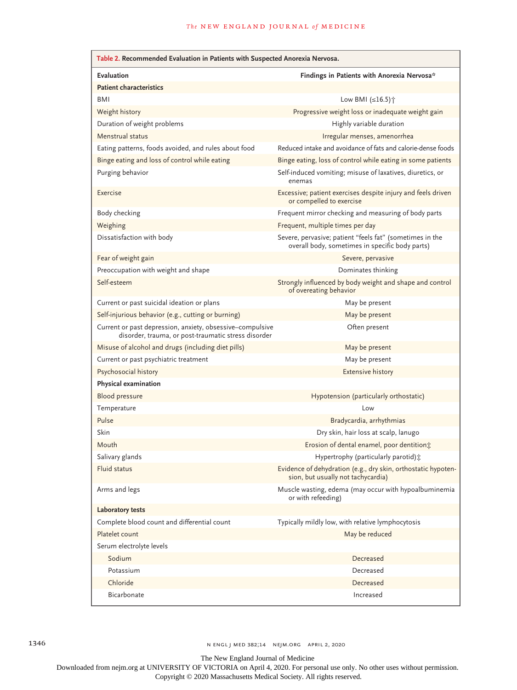| Table 2. Recommended Evaluation in Patients with Suspected Anorexia Nervosa.                                     |                                                                                                             |
|------------------------------------------------------------------------------------------------------------------|-------------------------------------------------------------------------------------------------------------|
| Evaluation                                                                                                       | Findings in Patients with Anorexia Nervosa*                                                                 |
| <b>Patient characteristics</b>                                                                                   |                                                                                                             |
| BMI                                                                                                              | Low BMI $(\leq 16.5)$ <sup>+</sup>                                                                          |
| Weight history                                                                                                   | Progressive weight loss or inadequate weight gain                                                           |
| Duration of weight problems                                                                                      | Highly variable duration                                                                                    |
| Menstrual status                                                                                                 | Irregular menses, amenorrhea                                                                                |
| Eating patterns, foods avoided, and rules about food                                                             | Reduced intake and avoidance of fats and calorie-dense foods                                                |
| Binge eating and loss of control while eating                                                                    | Binge eating, loss of control while eating in some patients                                                 |
| Purging behavior                                                                                                 | Self-induced vomiting; misuse of laxatives, diuretics, or<br>enemas                                         |
| Exercise                                                                                                         | Excessive; patient exercises despite injury and feels driven<br>or compelled to exercise                    |
| Body checking                                                                                                    | Frequent mirror checking and measuring of body parts                                                        |
| Weighing                                                                                                         | Frequent, multiple times per day                                                                            |
| Dissatisfaction with body                                                                                        | Severe, pervasive; patient "feels fat" (sometimes in the<br>overall body, sometimes in specific body parts) |
| Fear of weight gain                                                                                              | Severe, pervasive                                                                                           |
| Preoccupation with weight and shape                                                                              | Dominates thinking                                                                                          |
| Self-esteem                                                                                                      | Strongly influenced by body weight and shape and control<br>of overeating behavior                          |
| Current or past suicidal ideation or plans                                                                       | May be present                                                                                              |
| Self-injurious behavior (e.g., cutting or burning)                                                               | May be present                                                                                              |
| Current or past depression, anxiety, obsessive-compulsive<br>disorder, trauma, or post-traumatic stress disorder | Often present                                                                                               |
| Misuse of alcohol and drugs (including diet pills)                                                               | May be present                                                                                              |
| Current or past psychiatric treatment                                                                            | May be present                                                                                              |
| Psychosocial history                                                                                             | <b>Extensive history</b>                                                                                    |
| Physical examination                                                                                             |                                                                                                             |
| Blood pressure                                                                                                   | Hypotension (particularly orthostatic)                                                                      |
| Temperature                                                                                                      | Low                                                                                                         |
| Pulse                                                                                                            | Bradycardia, arrhythmias                                                                                    |
| Skin                                                                                                             | Dry skin, hair loss at scalp, lanugo                                                                        |
| Mouth                                                                                                            | Erosion of dental enamel, poor dentition;                                                                   |
| Salivary glands                                                                                                  | Hypertrophy (particularly parotid) :                                                                        |
| Fluid status                                                                                                     | Evidence of dehydration (e.g., dry skin, orthostatic hypoten-<br>sion, but usually not tachycardia)         |
| Arms and legs                                                                                                    | Muscle wasting, edema (may occur with hypoalbuminemia<br>or with refeeding)                                 |
| Laboratory tests                                                                                                 |                                                                                                             |
| Complete blood count and differential count                                                                      | Typically mildly low, with relative lymphocytosis                                                           |
| Platelet count                                                                                                   | May be reduced                                                                                              |
| Serum electrolyte levels                                                                                         |                                                                                                             |
| Sodium                                                                                                           | Decreased                                                                                                   |
| Potassium                                                                                                        | Decreased                                                                                                   |
| Chloride                                                                                                         | Decreased                                                                                                   |
| Bicarbonate                                                                                                      | Increased                                                                                                   |

1346 n engl j med 382;14 nejm.org April 2, 2020

The New England Journal of Medicine

Downloaded from nejm.org at UNIVERSITY OF VICTORIA on April 4, 2020. For personal use only. No other uses without permission.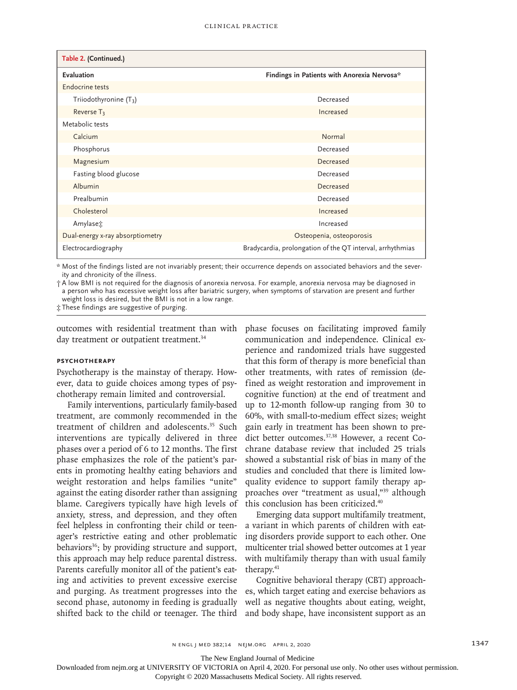| Table 2. (Continued.)            |                                                           |
|----------------------------------|-----------------------------------------------------------|
| Evaluation                       | Findings in Patients with Anorexia Nervosa*               |
| Endocrine tests                  |                                                           |
| Triiodothyronine $(T_3)$         | Decreased                                                 |
| Reverse T <sub>3</sub>           | Increased                                                 |
| Metabolic tests                  |                                                           |
| Calcium                          | Normal                                                    |
| Phosphorus                       | Decreased                                                 |
| Magnesium                        | Decreased                                                 |
| Fasting blood glucose            | Decreased                                                 |
| Albumin                          | Decreased                                                 |
| Prealbumin                       | Decreased                                                 |
| Cholesterol                      | Increased                                                 |
| Amylase $\ddot{\mathfrak{T}}$    | Increased                                                 |
| Dual-energy x-ray absorptiometry | Osteopenia, osteoporosis                                  |
| Electrocardiography              | Bradycardia, prolongation of the QT interval, arrhythmias |

\* Most of the findings listed are not invariably present; their occurrence depends on associated behaviors and the severity and chronicity of the illness.

† A low BMI is not required for the diagnosis of anorexia nervosa. For example, anorexia nervosa may be diagnosed in a person who has excessive weight loss after bariatric surgery, when symptoms of starvation are present and further weight loss is desired, but the BMI is not in a low range.

‡ These findings are suggestive of purging.

outcomes with residential treatment than with day treatment or outpatient treatment.<sup>34</sup>

## **Psychotherapy**

Psychotherapy is the mainstay of therapy. However, data to guide choices among types of psychotherapy remain limited and controversial.

Family interventions, particularly family-based treatment, are commonly recommended in the treatment of children and adolescents.<sup>35</sup> Such interventions are typically delivered in three phases over a period of 6 to 12 months. The first phase emphasizes the role of the patient's parents in promoting healthy eating behaviors and weight restoration and helps families "unite" against the eating disorder rather than assigning blame. Caregivers typically have high levels of anxiety, stress, and depression, and they often feel helpless in confronting their child or teenager's restrictive eating and other problematic behaviors<sup>36</sup>; by providing structure and support, this approach may help reduce parental distress. Parents carefully monitor all of the patient's eating and activities to prevent excessive exercise and purging. As treatment progresses into the second phase, autonomy in feeding is gradually shifted back to the child or teenager. The third

phase focuses on facilitating improved family communication and independence. Clinical experience and randomized trials have suggested that this form of therapy is more beneficial than other treatments, with rates of remission (defined as weight restoration and improvement in cognitive function) at the end of treatment and up to 12-month follow-up ranging from 30 to 60%, with small-to-medium effect sizes; weight gain early in treatment has been shown to predict better outcomes.<sup>37,38</sup> However, a recent Cochrane database review that included 25 trials showed a substantial risk of bias in many of the studies and concluded that there is limited lowquality evidence to support family therapy approaches over "treatment as usual,"39 although this conclusion has been criticized.40

Emerging data support multifamily treatment, a variant in which parents of children with eating disorders provide support to each other. One multicenter trial showed better outcomes at 1 year with multifamily therapy than with usual family therapy.<sup>41</sup>

Cognitive behavioral therapy (CBT) approaches, which target eating and exercise behaviors as well as negative thoughts about eating, weight, and body shape, have inconsistent support as an

The New England Journal of Medicine

Downloaded from nejm.org at UNIVERSITY OF VICTORIA on April 4, 2020. For personal use only. No other uses without permission.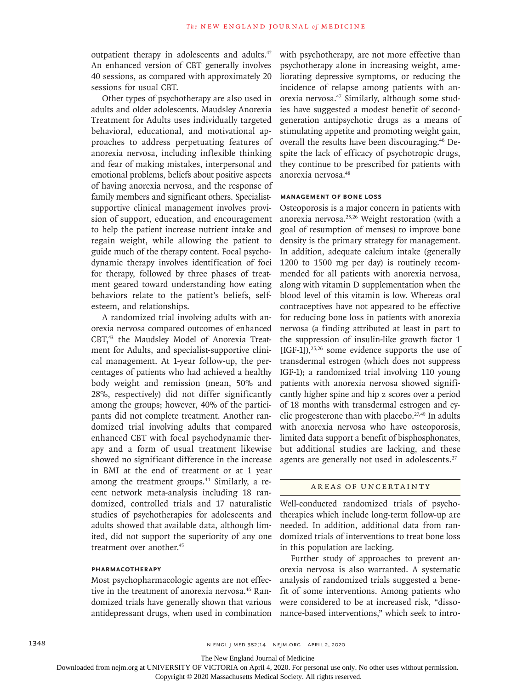outpatient therapy in adolescents and adults.42 An enhanced version of CBT generally involves 40 sessions, as compared with approximately 20 sessions for usual CBT.

Other types of psychotherapy are also used in adults and older adolescents. Maudsley Anorexia Treatment for Adults uses individually targeted behavioral, educational, and motivational approaches to address perpetuating features of anorexia nervosa, including inflexible thinking and fear of making mistakes, interpersonal and emotional problems, beliefs about positive aspects of having anorexia nervosa, and the response of family members and significant others. Specialistsupportive clinical management involves provision of support, education, and encouragement to help the patient increase nutrient intake and regain weight, while allowing the patient to guide much of the therapy content. Focal psychodynamic therapy involves identification of foci for therapy, followed by three phases of treatment geared toward understanding how eating behaviors relate to the patient's beliefs, selfesteem, and relationships.

A randomized trial involving adults with anorexia nervosa compared outcomes of enhanced CBT,43 the Maudsley Model of Anorexia Treatment for Adults, and specialist-supportive clinical management. At 1-year follow-up, the percentages of patients who had achieved a healthy body weight and remission (mean, 50% and 28%, respectively) did not differ significantly among the groups; however, 40% of the participants did not complete treatment. Another randomized trial involving adults that compared enhanced CBT with focal psychodynamic therapy and a form of usual treatment likewise showed no significant difference in the increase in BMI at the end of treatment or at 1 year among the treatment groups.<sup>44</sup> Similarly, a recent network meta-analysis including 18 randomized, controlled trials and 17 naturalistic studies of psychotherapies for adolescents and adults showed that available data, although limited, did not support the superiority of any one treatment over another.45

# **Pharmacotherapy**

Most psychopharmacologic agents are not effective in the treatment of anorexia nervosa.<sup>46</sup> Randomized trials have generally shown that various antidepressant drugs, when used in combination with psychotherapy, are not more effective than psychotherapy alone in increasing weight, ameliorating depressive symptoms, or reducing the incidence of relapse among patients with anorexia nervosa.47 Similarly, although some studies have suggested a modest benefit of secondgeneration antipsychotic drugs as a means of stimulating appetite and promoting weight gain, overall the results have been discouraging.46 Despite the lack of efficacy of psychotropic drugs, they continue to be prescribed for patients with anorexia nervosa.48

## **Management of Bone Loss**

Osteoporosis is a major concern in patients with anorexia nervosa.25,26 Weight restoration (with a goal of resumption of menses) to improve bone density is the primary strategy for management. In addition, adequate calcium intake (generally 1200 to 1500 mg per day) is routinely recommended for all patients with anorexia nervosa, along with vitamin D supplementation when the blood level of this vitamin is low. Whereas oral contraceptives have not appeared to be effective for reducing bone loss in patients with anorexia nervosa (a finding attributed at least in part to the suppression of insulin-like growth factor 1  $[IGF-1]$ ,<sup>25,26</sup> some evidence supports the use of transdermal estrogen (which does not suppress IGF-1); a randomized trial involving 110 young patients with anorexia nervosa showed significantly higher spine and hip z scores over a period of 18 months with transdermal estrogen and cyclic progesterone than with placebo. $27,49$  In adults with anorexia nervosa who have osteoporosis, limited data support a benefit of bisphosphonates, but additional studies are lacking, and these agents are generally not used in adolescents.<sup>27</sup>

#### AREAS OF UNCERTAINTY

Well-conducted randomized trials of psychotherapies which include long-term follow-up are needed. In addition, additional data from randomized trials of interventions to treat bone loss in this population are lacking.

Further study of approaches to prevent anorexia nervosa is also warranted. A systematic analysis of randomized trials suggested a benefit of some interventions. Among patients who were considered to be at increased risk, "dissonance-based interventions," which seek to intro-

The New England Journal of Medicine

Downloaded from nejm.org at UNIVERSITY OF VICTORIA on April 4, 2020. For personal use only. No other uses without permission.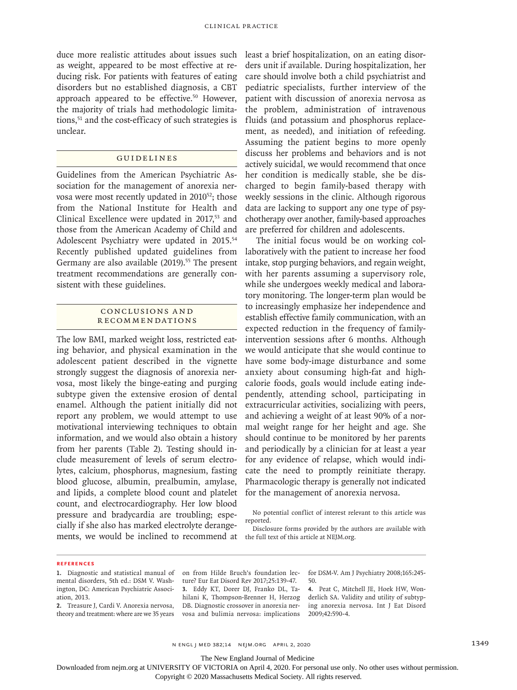duce more realistic attitudes about issues such as weight, appeared to be most effective at reducing risk. For patients with features of eating disorders but no established diagnosis, a CBT approach appeared to be effective.<sup>50</sup> However, the majority of trials had methodologic limitations,<sup>51</sup> and the cost-efficacy of such strategies is unclear.

### Guidelines

Guidelines from the American Psychiatric Association for the management of anorexia nervosa were most recently updated in 2010<sup>52</sup>; those from the National Institute for Health and Clinical Excellence were updated in 2017,<sup>53</sup> and those from the American Academy of Child and Adolescent Psychiatry were updated in 2015.<sup>54</sup> Recently published updated guidelines from Germany are also available (2019).<sup>55</sup> The present treatment recommendations are generally consistent with these guidelines.

## Conclusions a nd Recommendations

The low BMI, marked weight loss, restricted eating behavior, and physical examination in the adolescent patient described in the vignette strongly suggest the diagnosis of anorexia nervosa, most likely the binge-eating and purging subtype given the extensive erosion of dental enamel. Although the patient initially did not report any problem, we would attempt to use motivational interviewing techniques to obtain information, and we would also obtain a history from her parents (Table 2). Testing should include measurement of levels of serum electrolytes, calcium, phosphorus, magnesium, fasting blood glucose, albumin, prealbumin, amylase, and lipids, a complete blood count and platelet count, and electrocardiography. Her low blood pressure and bradycardia are troubling; especially if she also has marked electrolyte derangements, we would be inclined to recommend at

least a brief hospitalization, on an eating disorders unit if available. During hospitalization, her care should involve both a child psychiatrist and pediatric specialists, further interview of the patient with discussion of anorexia nervosa as the problem, administration of intravenous fluids (and potassium and phosphorus replacement, as needed), and initiation of refeeding. Assuming the patient begins to more openly discuss her problems and behaviors and is not actively suicidal, we would recommend that once her condition is medically stable, she be discharged to begin family-based therapy with weekly sessions in the clinic. Although rigorous data are lacking to support any one type of psychotherapy over another, family-based approaches are preferred for children and adolescents.

The initial focus would be on working collaboratively with the patient to increase her food intake, stop purging behaviors, and regain weight, with her parents assuming a supervisory role, while she undergoes weekly medical and laboratory monitoring. The longer-term plan would be to increasingly emphasize her independence and establish effective family communication, with an expected reduction in the frequency of familyintervention sessions after 6 months. Although we would anticipate that she would continue to have some body-image disturbance and some anxiety about consuming high-fat and highcalorie foods, goals would include eating independently, attending school, participating in extracurricular activities, socializing with peers, and achieving a weight of at least 90% of a normal weight range for her height and age. She should continue to be monitored by her parents and periodically by a clinician for at least a year for any evidence of relapse, which would indicate the need to promptly reinitiate therapy. Pharmacologic therapy is generally not indicated for the management of anorexia nervosa.

No potential conflict of interest relevant to this article was reported.

Disclosure forms provided by the authors are available with the full text of this article at NEJM.org.

#### **References**

**1.** Diagnostic and statistical manual of mental disorders, 5th ed.: DSM V. Washington, DC: American Psychiatric Association, 2013.

**2.** Treasure J, Cardi V. Anorexia nervosa, theory and treatment: where are we 35 years on from Hilde Bruch's foundation lecture? Eur Eat Disord Rev 2017;25:139-47. **3.** Eddy KT, Dorer DJ, Franko DL, Tahilani K, Thompson-Brenner H, Herzog DB. Diagnostic crossover in anorexia nervosa and bulimia nervosa: implications for DSM-V. Am J Psychiatry 2008;165:245- 50.

**4.** Peat C, Mitchell JE, Hoek HW, Wonderlich SA. Validity and utility of subtyping anorexia nervosa. Int J Eat Disord 2009;42:590-4.

n engl j med 382;14 nejm.org April 2, 2020 1349

The New England Journal of Medicine

Downloaded from nejm.org at UNIVERSITY OF VICTORIA on April 4, 2020. For personal use only. No other uses without permission.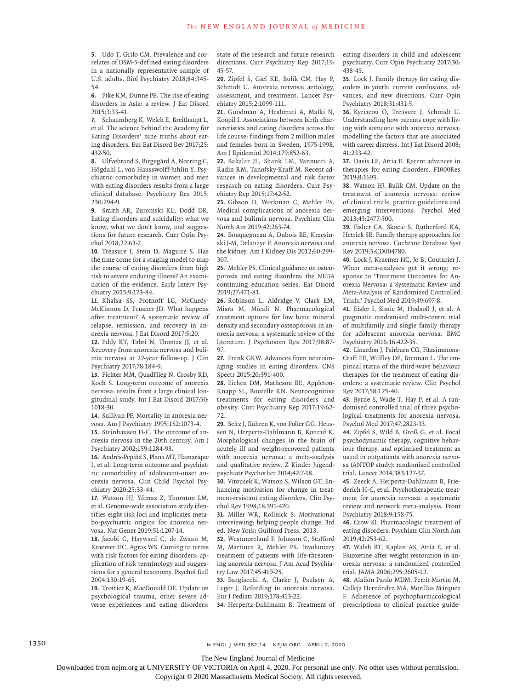**5.** Udo T, Grilo CM. Prevalence and correlates of DSM-5-defined eating disorders in a nationally representative sample of U.S. adults. Biol Psychiatry 2018;84:345- 54.

**6.** Pike KM, Dunne PE. The rise of eating disorders in Asia: a review. J Eat Disord 2015;3:33-41.

**7.** Schaumberg K, Welch E, Breithaupt L, et al. The science behind the Academy for Eating Disorders' nine truths about eating disorders. Eur Eat Disord Rev 2017;25: 432-50.

**8.** Ulfvebrand S, Birgegård A, Norring C, Högdahl L, von Hausswolff-Juhlin Y. Psychiatric comorbidity in women and men with eating disorders results from a large clinical database. Psychiatry Res 2015; 230:294-9.

**9.** Smith AR, Zuromski KL, Dodd DR. Eating disorders and suicidality: what we know, what we don't know, and suggestions for future research. Curr Opin Psychol 2018;22:63-7.

**10.** Treasure J, Stein D, Maguire S. Has the time come for a staging model to map the course of eating disorders from high risk to severe enduring illness? An examination of the evidence. Early Interv Psychiatry 2015;9:173-84.

**11.** Khalsa SS, Portnoff LC, McCurdy-McKinnon D, Feusner JD. What happens after treatment? A systematic review of relapse, remission, and recovery in anorexia nervosa. J Eat Disord 2017;5:20.

**12.** Eddy KT, Tabri N, Thomas JJ, et al. Recovery from anorexia nervosa and bulimia nervosa at 22-year follow-up. J Clin Psychiatry 2017;78:184-9.

**13.** Fichter MM, Quadflieg N, Crosby RD, Koch S. Long-term outcome of anorexia nervosa: results from a large clinical longitudinal study. Int J Eat Disord 2017;50: 1018-30.

**14.** Sullivan PF. Mortality in anorexia nervosa. Am J Psychiatry 1995;152:1073-4.

**15.** Steinhausen H-C. The outcome of anorexia nervosa in the 20th century. Am J Psychiatry 2002;159:1284-93.

**16.** Andrés-Pepiñá S, Plana MT, Flamarique I, et al. Long-term outcome and psychiatric comorbidity of adolescent-onset anorexia nervosa. Clin Child Psychol Psychiatry 2020;25:33-44.

**17.** Watson HJ, Yilmaz Z, Thornton LM, et al. Genome-wide association study identifies eight risk loci and implicates metabo-psychiatric origins for anorexia nervosa. Nat Genet 2019;51:1207-14.

**18.** Jacobi C, Hayward C, de Zwaan M, Kraemer HC, Agras WS. Coming to terms with risk factors for eating disorders: application of risk terminology and suggestions for a general taxonomy. Psychol Bull 2004;130:19-65.

**19.** Trottier K, MacDonald DE. Update on psychological trauma, other severe adverse experiences and eating disorders: state of the research and future research directions. Curr Psychiatry Rep 2017;19: 45-57.

**20.** Zipfel S, Giel KE, Bulik CM, Hay P, Schmidt U. Anorexia nervosa: aetiology, assessment, and treatment. Lancet Psychiatry 2015;2:1099-111.

**21.** Goodman A, Heshmati A, Malki N, Koupil I. Associations between birth characteristics and eating disorders across the life course: findings from 2 million males and females born in Sweden, 1975-1998. Am J Epidemiol 2014;179:852-63.

**22.** Bakalar JL, Shank LM, Vannucci A, Radin RM, Tanofsky-Kraff M. Recent advances in developmental and risk factor research on eating disorders. Curr Psychiatry Rep 2015;17:42-52.

**23.** Gibson D, Workman C, Mehler PS. Medical complications of anorexia nervosa and bulimia nervosa. Psychiatr Clin North Am 2019;42:263-74.

**24.** Bouquegneau A, Dubois BE, Krzesinski J-M, Delanaye P. Anorexia nervosa and the kidney. Am J Kidney Dis 2012;60:299- 307.

**25.** Mehler PS. Clinical guidance on osteoporosis and eating disorders: the NEDA continuing education series. Eat Disord 2019;27:471-81.

**26.** Robinson L, Aldridge V, Clark EM, Misra M, Micali N. Pharmacological treatment options for low bone mineral density and secondary osteoporosis in anorexia nervosa: a systematic review of the literature. J Psychosom Res 2017;98:87- 97.

**27.** Frank GKW. Advances from neuroimaging studies in eating disorders. CNS Spectr 2015;20:391-400.

**28.** Eichen DM, Matheson BE, Appleton-Knapp SL, Boutelle KN. Neurocognitive treatments for eating disorders and obesity. Curr Psychiatry Rep 2017;19:62- 72.

**29.** Seitz J, Bühren K, von Polier GG, Heussen N, Herpertz-Dahlmann B, Konrad K. Morphological changes in the brain of acutely ill and weight-recovered patients with anorexia nervosa: a meta-analysis and qualitative review. Z Kinder Jugendpsychiatr Psychother 2014;42:7-18.

**30.** Vitousek K, Watson S, Wilson GT. Enhancing motivation for change in treatment-resistant eating disorders. Clin Psychol Rev 1998;18:391-420.

**31.** Miller WR, Rollnick S. Motivational interviewing: helping people change. 3rd ed. New York: Guilford Press, 2013.

**32.** Westmoreland P, Johnson C, Stafford M, Martinez R, Mehler PS. Involuntary treatment of patients with life-threatening anorexia nervosa. J Am Acad Psychiatry Law 2017;45:419-25.

**33.** Bargiacchi A, Clarke J, Paulsen A, Leger J. Refeeding in anorexia nervosa. Eur J Pediatr 2019;178:413-22.

**34.** Herpertz-Dahlmann B. Treatment of

eating disorders in child and adolescent psychiatry. Curr Opin Psychiatry 2017;30: 438-45.

**35.** Lock J. Family therapy for eating disorders in youth: current confusions, advances, and new directions. Curr Opin Psychiatry 2018;31:431-5.

**36.** Kyriacou O, Treasure J, Schmidt U. Understanding how parents cope with living with someone with anorexia nervosa: modelling the factors that are associated with career distress. Int J Eat Disord 2008;  $41.733 - 47$ 

**37.** Davis LE, Attia E. Recent advances in therapies for eating disorders. F1000Res 2019;8:1693.

**38.** Watson HJ, Bulik CM. Update on the treatment of anorexia nervosa: review of clinical trials, practice guidelines and emerging interventions. Psychol Med 2013;43:2477-500.

**39.** Fisher CA, Skocic S, Rutherford KA, Hetrick SE. Family therapy approaches for anorexia nervosa. Cochrane Database Syst Rev 2019;5:CD004780.

**40.** Lock J, Kraemer HC, Jo B, Couturier J. When meta-analyses get it wrong: response to 'Treatment Outcomes for Anorexia Nervosa: a Systematic Review and Meta-Analysis of Randomized Controlled Trials.' Psychol Med 2019;49:697-8.

**41.** Eisler I, Simic M, Hodsoll J, et al. A pragmatic randomised multi-centre trial of multifamily and single family therapy for adolescent anorexia nervosa. BMC Psychiatry 2016;16:422-35.

**42.** Linardon J, Fairburn CG, Fitzsimmons-Craft EE, Wilfley DE, Brennan L. The empirical status of the third-wave behaviour therapies for the treatment of eating disorders: a systematic review. Clin Psychol Rev 2017;58:125-40.

**43.** Byrne S, Wade T, Hay P, et al. A randomised controlled trial of three psychological treatments for anorexia nervosa. Psychol Med 2017;47:2823-33.

**44.** Zipfel S, Wild B, Groß G, et al. Focal psychodynamic therapy, cognitive behaviour therapy, and optimised treatment as usual in outpatients with anorexia nervosa (ANTOP study): randomised controlled trial. Lancet 2014;383:127-37.

**45.** Zeeck A, Herpertz-Dahlmann B, Friederich H-C, et al. Psychotherapeutic treatment for anorexia nervosa: a systematic review and network meta-analysis. Front Psychiatry 2018;9:158-75.

**46.** Crow SJ. Pharmacologic treatment of eating disorders. Psychiatr Clin North Am 2019;42:253-62.

**47.** Walsh BT, Kaplan AS, Attia E, et al. Fluoxetine after weight restoration in anorexia nervosa: a randomized controlled trial. JAMA 2006;295:2605-12.

**48.** Alañón Pardo MDM, Ferrit Martín M, Calleja Hernández MÁ, Morillas Márquez F. Adherence of psychopharmacological prescriptions to clinical practice guide-

1350 **n engl j med 382;14 NEIM.ORG** APRIL 2, 2020

The New England Journal of Medicine

Downloaded from nejm.org at UNIVERSITY OF VICTORIA on April 4, 2020. For personal use only. No other uses without permission.